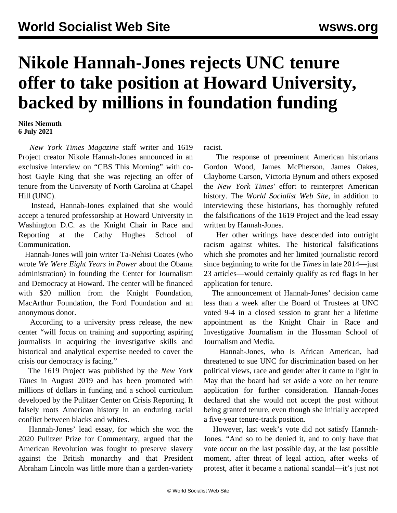## **Nikole Hannah-Jones rejects UNC tenure offer to take position at Howard University, backed by millions in foundation funding**

## **Niles Niemuth 6 July 2021**

 *New York Times Magazine* staff writer and 1619 Project creator Nikole Hannah-Jones announced in an exclusive interview on "CBS This Morning" with cohost Gayle King that she was rejecting an offer of tenure from the University of North Carolina at Chapel Hill (UNC).

 Instead, Hannah-Jones explained that she would accept a tenured professorship at Howard University in Washington D.C. as the Knight Chair in Race and Reporting at the Cathy Hughes School of Communication.

 Hannah-Jones will join writer Ta-Nehisi Coates (who wrote *We Were Eight Years in Power* about the Obama administration) in founding the Center for Journalism and Democracy at Howard. The center will be financed with \$20 million from the Knight Foundation, MacArthur Foundation, the Ford Foundation and an anonymous donor.

 According to a university press release, the new center "will focus on training and supporting aspiring journalists in acquiring the investigative skills and historical and analytical expertise needed to cover the crisis our democracy is facing."

 The 1619 Project was published by the *New York Times* in August 2019 and has been promoted with millions of dollars in funding and a school curriculum developed by the Pulitzer Center on Crisis Reporting. It falsely roots American history in an enduring racial conflict between blacks and whites.

 Hannah-Jones' lead essay, for which she won the 2020 Pulitzer Prize for Commentary, argued that the American Revolution was fought to preserve slavery against the British monarchy and that President Abraham Lincoln was little more than a garden-variety

racist.

 The response of preeminent American historians Gordon Wood, James McPherson, James Oakes, Clayborne Carson, Victoria Bynum and others exposed the *New York Times'* effort to reinterpret American history. The *World Socialist Web Site*, in addition to interviewing these historians, has thoroughly refuted the falsifications of the 1619 Project and the lead essay written by Hannah-Jones.

 Her other writings have descended into outright racism against whites. The historical falsifications which she promotes and her limited journalistic record since beginning to write for the *Times* in late 2014—just 23 articles—would certainly qualify as red flags in her application for tenure.

 The announcement of Hannah-Jones' decision came less than a week after the Board of Trustees at UNC voted 9-4 in a closed session to grant her a lifetime appointment as the Knight Chair in Race and Investigative Journalism in the Hussman School of Journalism and Media.

 Hannah-Jones, who is African American, had threatened to sue UNC for discrimination based on her political views, race and gender after it came to light in May that the board had set aside a vote on her tenure application for further consideration. Hannah-Jones declared that she would not accept the post without being granted tenure, even though she initially accepted a five-year tenure-track position.

 However, last week's vote did not satisfy Hannah-Jones. "And so to be denied it, and to only have that vote occur on the last possible day, at the last possible moment, after threat of legal action, after weeks of protest, after it became a national scandal—it's just not